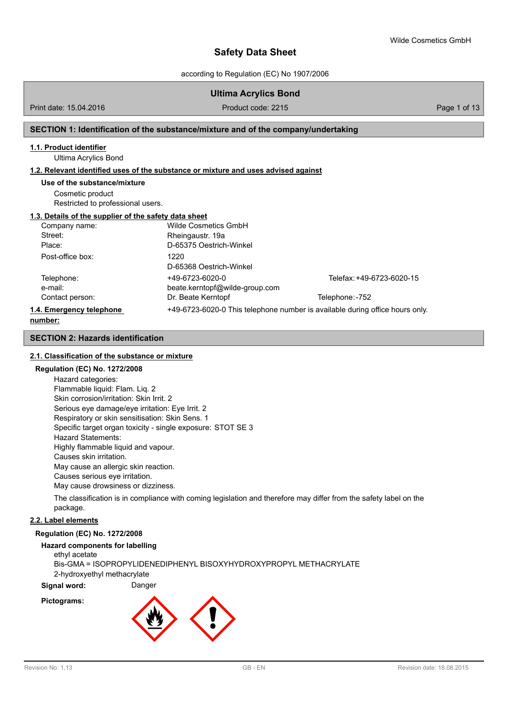according to Regulation (EC) No 1907/2006

### **Ultima Acrylics Bond**

Print date: 15.04.2016 **Product code: 2215** Product code: 2215 **Page 1 of 13** 

#### **SECTION 1: Identification of the substance/mixture and of the company/undertaking**

#### **1.1. Product identifier**

Ultima Acrylics Bond

#### **1.2. Relevant identified uses of the substance or mixture and uses advised against**

#### **Use of the substance/mixture**

Cosmetic product Restricted to professional users.

#### **1.3. Details of the supplier of the safety data sheet**

| Company name:            | Wilde Cosmetics GmbH                                                         |                           |
|--------------------------|------------------------------------------------------------------------------|---------------------------|
| Street:                  | Rheingaustr. 19a                                                             |                           |
| Place:                   | D-65375 Oestrich-Winkel                                                      |                           |
| Post-office box:         | 1220                                                                         |                           |
|                          | D-65368 Oestrich-Winkel                                                      |                           |
| Telephone:               | +49-6723-6020-0                                                              | Telefax: +49-6723-6020-15 |
| e-mail:                  | beate.kerntopf@wilde-group.com                                               |                           |
| Contact person:          | Dr. Beate Kerntopf                                                           | Telephone: -752           |
| 1.4. Emergency telephone | +49-6723-6020-0 This telephone number is available during office hours only. |                           |
|                          |                                                                              |                           |

#### **number:**

#### **SECTION 2: Hazards identification**

#### **2.1. Classification of the substance or mixture**

#### **Regulation (EC) No. 1272/2008**

Hazard categories: Flammable liquid: Flam. Liq. 2 Skin corrosion/irritation: Skin Irrit. 2 Serious eye damage/eye irritation: Eye Irrit. 2 Respiratory or skin sensitisation: Skin Sens. 1 Specific target organ toxicity - single exposure: STOT SE 3 Hazard Statements: Highly flammable liquid and vapour. Causes skin irritation. May cause an allergic skin reaction. Causes serious eye irritation. May cause drowsiness or dizziness.

The classification is in compliance with coming legislation and therefore may differ from the safety label on the package.

#### **2.2. Label elements**

### **Regulation (EC) No. 1272/2008**

#### **Hazard components for labelling**

ethyl acetate Bis-GMA = ISOPROPYLIDENEDIPHENYL BISOXYHYDROXYPROPYL METHACRYLATE 2-hydroxyethyl methacrylate

**Signal word:** Danger

#### **Pictograms:**

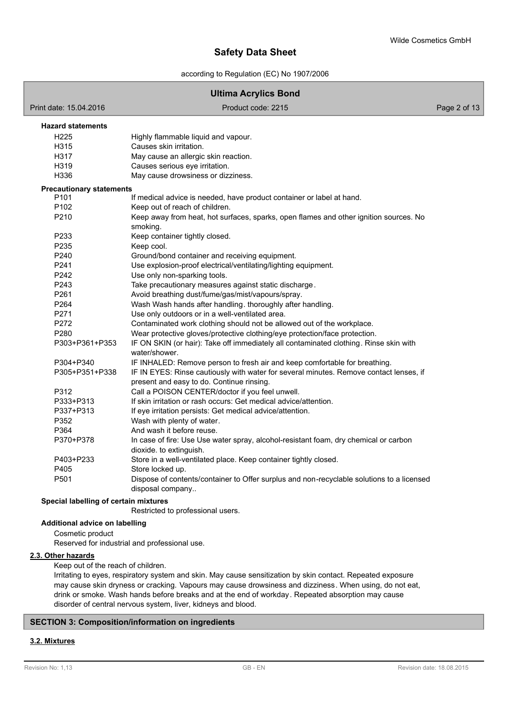according to Regulation (EC) No 1907/2006

### **Ultima Acrylics Bond** Print date: 15.04.2016 **Product code: 2215** Product code: 2215 **Product code: 2215** Page 2 of 13 H225 Highly flammable liquid and vapour. H315 Causes skin irritation. H317 May cause an allergic skin reaction. H319 Causes serious eye irritation. H336 May cause drowsiness or dizziness. **Hazard statements** P101 If medical advice is needed, have product container or label at hand. P102 Keep out of reach of children. P210 Keep away from heat, hot surfaces, sparks, open flames and other ignition sources. No smoking. P233 Keep container tightly closed. P235 Keep cool. P240 Ground/bond container and receiving equipment. P241 Use explosion-proof electrical/ventilating/lighting equipment. P242 Use only non-sparking tools. P243 Take precautionary measures against static discharge. P261 Avoid breathing dust/fume/gas/mist/vapours/spray. P264 Wash Wash hands after handling. thoroughly after handling. P271 Use only outdoors or in a well-ventilated area. P272 Contaminated work clothing should not be allowed out of the workplace. P280 Wear protective gloves/protective clothing/eye protection/face protection. P303+P361+P353 IF ON SKIN (or hair): Take off immediately all contaminated clothing. Rinse skin with water/shower. P304+P340 IF INHALED: Remove person to fresh air and keep comfortable for breathing. P305+P351+P338 IF IN EYES: Rinse cautiously with water for several minutes. Remove contact lenses, if present and easy to do. Continue rinsing. P312 Call a POISON CENTER/doctor if you feel unwell. P333+P313 If skin irritation or rash occurs: Get medical advice/attention. P337+P313 If eye irritation persists: Get medical advice/attention. P352 Wash with plenty of water. P364 And wash it before reuse. P370+P378 In case of fire: Use Use water spray, alcohol-resistant foam, dry chemical or carbon dioxide. to extinguish. P403+P233 Store in a well-ventilated place. Keep container tightly closed. P405 Store locked up. P501 Dispose of contents/container to Offer surplus and non-recyclable solutions to a licensed disposal company.. **Precautionary statements**

### **Special labelling of certain mixtures**

Restricted to professional users.

### **Additional advice on labelling**

Cosmetic product

Reserved for industrial and professional use.

#### **2.3. Other hazards**

Keep out of the reach of children.

Irritating to eyes, respiratory system and skin. May cause sensitization by skin contact. Repeated exposure may cause skin dryness or cracking. Vapours may cause drowsiness and dizziness. When using, do not eat, drink or smoke. Wash hands before breaks and at the end of workday. Repeated absorption may cause disorder of central nervous system, liver, kidneys and blood.

### **SECTION 3: Composition/information on ingredients**

# **3.2. Mixtures**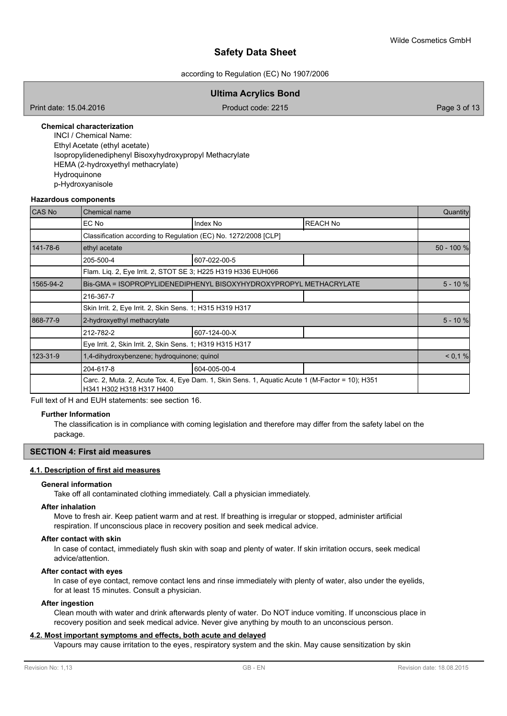#### according to Regulation (EC) No 1907/2006

### **Ultima Acrylics Bond**

Print date: 15.04.2016 **Product code: 2215** Product code: 2215 **Product code: 2215** Page 3 of 13

#### **Chemical characterization**

INCI / Chemical Name: Ethyl Acetate (ethyl acetate) Isopropylidenediphenyl Bisoxyhydroxypropyl Methacrylate HEMA (2-hydroxyethyl methacrylate) Hydroquinone p-Hydroxyanisole

#### **Hazardous components**

| <b>CAS No</b> | Chemical name                                                                                                               |                                                                   |                 |            |  |  |
|---------------|-----------------------------------------------------------------------------------------------------------------------------|-------------------------------------------------------------------|-----------------|------------|--|--|
|               | EC No                                                                                                                       | Index No                                                          | <b>REACH No</b> |            |  |  |
|               |                                                                                                                             | Classification according to Regulation (EC) No. 1272/2008 [CLP]   |                 |            |  |  |
| 141-78-6      | ethyl acetate                                                                                                               |                                                                   |                 | 50 - 100 % |  |  |
|               | 205-500-4                                                                                                                   | 607-022-00-5                                                      |                 |            |  |  |
|               |                                                                                                                             | Flam. Lig. 2, Eye Irrit. 2, STOT SE 3; H225 H319 H336 EUH066      |                 |            |  |  |
| 1565-94-2     |                                                                                                                             | Bis-GMA = ISOPROPYLIDENEDIPHENYL BISOXYHYDROXYPROPYL METHACRYLATE |                 | $5 - 10 %$ |  |  |
|               | 216-367-7                                                                                                                   |                                                                   |                 |            |  |  |
|               | Skin Irrit. 2, Eye Irrit. 2, Skin Sens. 1; H315 H319 H317                                                                   |                                                                   |                 |            |  |  |
| 868-77-9      | 2-hydroxyethyl methacrylate                                                                                                 |                                                                   |                 |            |  |  |
|               | 212-782-2                                                                                                                   | 607-124-00-X                                                      |                 |            |  |  |
|               | Eye Irrit. 2, Skin Irrit. 2, Skin Sens. 1; H319 H315 H317                                                                   |                                                                   |                 |            |  |  |
| 123-31-9      | 1,4-dihydroxybenzene; hydroquinone; quinol                                                                                  |                                                                   |                 |            |  |  |
|               | 204-617-8                                                                                                                   | 604-005-00-4                                                      |                 |            |  |  |
|               | Carc. 2, Muta. 2, Acute Tox. 4, Eye Dam. 1, Skin Sens. 1, Aquatic Acute 1 (M-Factor = 10); H351<br>H341 H302 H318 H317 H400 |                                                                   |                 |            |  |  |

Full text of H and EUH statements: see section 16.

#### **Further Information**

The classification is in compliance with coming legislation and therefore may differ from the safety label on the package.

#### **SECTION 4: First aid measures**

#### **4.1. Description of first aid measures**

#### **General information**

Take off all contaminated clothing immediately. Call a physician immediately.

#### **After inhalation**

Move to fresh air. Keep patient warm and at rest. If breathing is irregular or stopped, administer artificial respiration. If unconscious place in recovery position and seek medical advice.

#### **After contact with skin**

In case of contact, immediately flush skin with soap and plenty of water. If skin irritation occurs, seek medical advice/attention.

#### **After contact with eyes**

In case of eye contact, remove contact lens and rinse immediately with plenty of water, also under the eyelids, for at least 15 minutes. Consult a physician.

#### **After ingestion**

Clean mouth with water and drink afterwards plenty of water. Do NOT induce vomiting. If unconscious place in recovery position and seek medical advice. Never give anything by mouth to an unconscious person.

#### **4.2. Most important symptoms and effects, both acute and delayed**

Vapours may cause irritation to the eyes, respiratory system and the skin. May cause sensitization by skin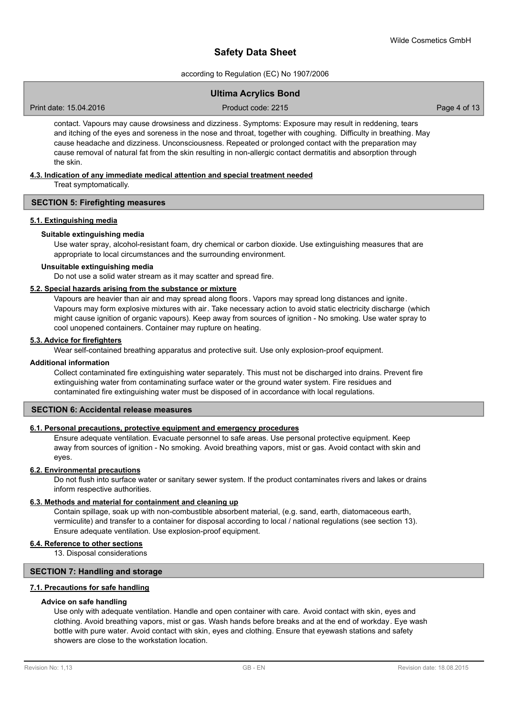according to Regulation (EC) No 1907/2006

## **Ultima Acrylics Bond**

Print date: 15.04.2016 **Product code: 2215** Product code: 2215 **Product code: 2215** Page 4 of 13

contact. Vapours may cause drowsiness and dizziness. Symptoms: Exposure may result in reddening, tears and itching of the eyes and soreness in the nose and throat, together with coughing. Difficulty in breathing. May cause headache and dizziness. Unconsciousness. Repeated or prolonged contact with the preparation may cause removal of natural fat from the skin resulting in non-allergic contact dermatitis and absorption through the skin.

#### **4.3. Indication of any immediate medical attention and special treatment needed**

Treat symptomatically.

#### **SECTION 5: Firefighting measures**

#### **5.1. Extinguishing media**

#### **Suitable extinguishing media**

Use water spray, alcohol-resistant foam, dry chemical or carbon dioxide. Use extinguishing measures that are appropriate to local circumstances and the surrounding environment.

#### **Unsuitable extinguishing media**

Do not use a solid water stream as it may scatter and spread fire.

#### **5.2. Special hazards arising from the substance or mixture**

Vapours are heavier than air and may spread along floors. Vapors may spread long distances and ignite. Vapours may form explosive mixtures with air. Take necessary action to avoid static electricity discharge (which might cause ignition of organic vapours). Keep away from sources of ignition - No smoking. Use water spray to cool unopened containers. Container may rupture on heating.

#### **5.3. Advice for firefighters**

Wear self-contained breathing apparatus and protective suit. Use only explosion-proof equipment.

#### **Additional information**

Collect contaminated fire extinguishing water separately. This must not be discharged into drains. Prevent fire extinguishing water from contaminating surface water or the ground water system. Fire residues and contaminated fire extinguishing water must be disposed of in accordance with local regulations.

#### **SECTION 6: Accidental release measures**

### **6.1. Personal precautions, protective equipment and emergency procedures**

Ensure adequate ventilation. Evacuate personnel to safe areas. Use personal protective equipment. Keep away from sources of ignition - No smoking. Avoid breathing vapors, mist or gas. Avoid contact with skin and eyes.

#### **6.2. Environmental precautions**

Do not flush into surface water or sanitary sewer system. If the product contaminates rivers and lakes or drains inform respective authorities.

#### **6.3. Methods and material for containment and cleaning up**

Contain spillage, soak up with non-combustible absorbent material, (e.g. sand, earth, diatomaceous earth, vermiculite) and transfer to a container for disposal according to local / national regulations (see section 13). Ensure adequate ventilation. Use explosion-proof equipment.

#### **6.4. Reference to other sections**

13. Disposal considerations

#### **SECTION 7: Handling and storage**

#### **7.1. Precautions for safe handling**

#### **Advice on safe handling**

Use only with adequate ventilation. Handle and open container with care. Avoid contact with skin, eyes and clothing. Avoid breathing vapors, mist or gas. Wash hands before breaks and at the end of workday. Eye wash bottle with pure water. Avoid contact with skin, eyes and clothing. Ensure that eyewash stations and safety showers are close to the workstation location.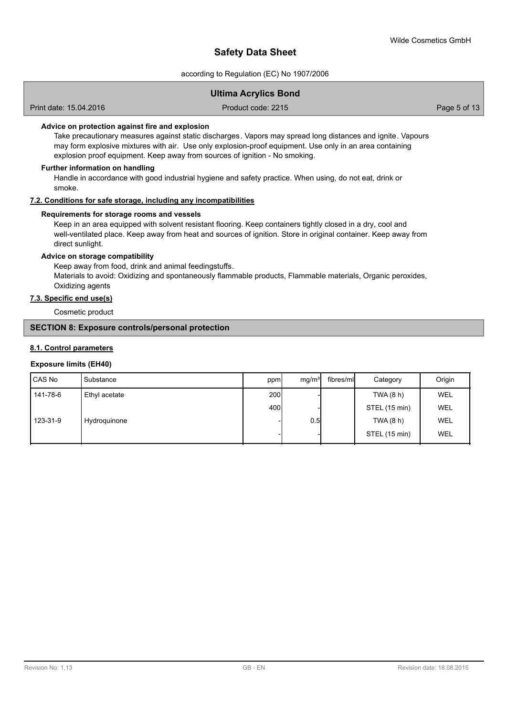according to Regulation (EC) No 1907/2006

### **Ultima Acrylics Bond**

Print date: 15.04.2016 **Product code: 2215** Product code: 2215 **Product code: 2215** 

### **Advice on protection against fire and explosion**

Take precautionary measures against static discharges. Vapors may spread long distances and ignite. Vapours may form explosive mixtures with air. Use only explosion-proof equipment. Use only in an area containing explosion proof equipment. Keep away from sources of ignition - No smoking.

#### **Further information on handling**

Handle in accordance with good industrial hygiene and safety practice. When using, do not eat, drink or smoke.

### **7.2. Conditions for safe storage, including any incompatibilities**

#### **Requirements for storage rooms and vessels**

Keep in an area equipped with solvent resistant flooring. Keep containers tightly closed in a dry, cool and well-ventilated place. Keep away from heat and sources of ignition. Store in original container. Keep away from direct sunlight.

#### **Advice on storage compatibility**

Keep away from food, drink and animal feedingstuffs.

Materials to avoid: Oxidizing and spontaneously flammable products, Flammable materials, Organic peroxides, Oxidizing agents

# **7.3. Specific end use(s)**

Cosmetic product

## **SECTION 8: Exposure controls/personal protection**

#### **8.1. Control parameters**

#### **Exposure limits (EH40)**

| CAS No   | Substance     | ppm              | mg/m <sup>3</sup> | fibres/ml | Category      | Origin     |
|----------|---------------|------------------|-------------------|-----------|---------------|------------|
| 141-78-6 | Ethyl acetate | 200 <sup>1</sup> |                   |           | TWA (8 h)     | <b>WEL</b> |
|          |               | 400              |                   |           | STEL (15 min) | <b>WEL</b> |
| 123-31-9 | Hydroguinone  |                  | 0.5               |           | TWA (8 h)     | <b>WEL</b> |
|          |               |                  |                   |           | STEL (15 min) | <b>WEL</b> |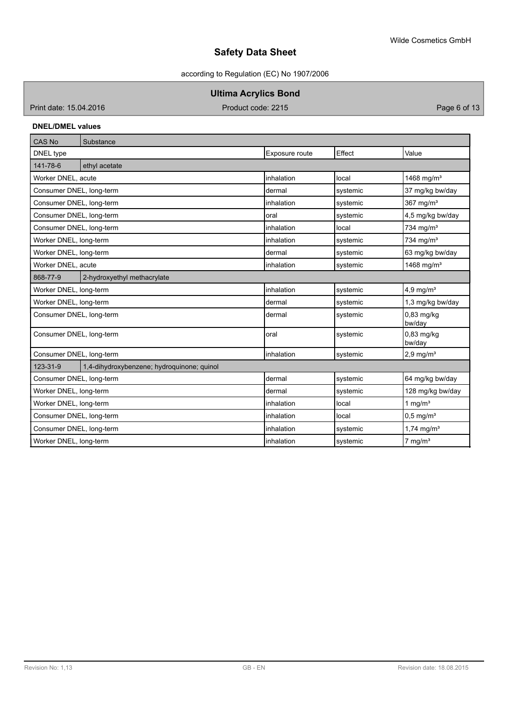according to Regulation (EC) No 1907/2006

**Ultima Acrylics Bond**

Print date: 15.04.2016 **Product code: 2215** Product code: 2215 **Product code: 2215** 

## **DNEL/DMEL values**

| CAS No                   | Substance                                  |                |                     |                          |  |
|--------------------------|--------------------------------------------|----------------|---------------------|--------------------------|--|
| DNEL type                |                                            | Exposure route | Effect              | Value                    |  |
| 141-78-6                 | ethyl acetate                              |                |                     |                          |  |
| Worker DNEL, acute       |                                            | inhalation     | local               | 1468 mg/m <sup>3</sup>   |  |
| Consumer DNEL, long-term |                                            | ldermal        | systemic            | 37 mg/kg bw/day          |  |
| Consumer DNEL, long-term |                                            | linhalation    | systemic            | 367 mg/m <sup>3</sup>    |  |
| Consumer DNEL, long-term |                                            | loral          | systemic            | 4,5 mg/kg bw/day         |  |
| Consumer DNEL, long-term |                                            | inhalation     | local               | 734 mg/m $3$             |  |
| Worker DNEL, long-term   |                                            | inhalation     | systemic            | 734 mg/m $3$             |  |
| Worker DNEL, long-term   |                                            | Idermal        | systemic            | 63 mg/kg bw/day          |  |
| Worker DNEL, acute       |                                            | inhalation     | systemic            | 1468 mg/m <sup>3</sup>   |  |
| 868-77-9                 | 2-hydroxyethyl methacrylate                |                |                     |                          |  |
| Worker DNEL, long-term   |                                            | inhalation     | systemic            | 4,9 mg/ $m3$             |  |
| Worker DNEL, long-term   |                                            | dermal         | systemic            | 1,3 mg/kg bw/day         |  |
| Consumer DNEL, long-term |                                            | dermal         | systemic            | $0.83$ mg/kg<br>bw/day   |  |
| Consumer DNEL, long-term |                                            | oral           | systemic            | 0,83 mg/kg<br>bw/day     |  |
| Consumer DNEL, long-term |                                            | linhalation    | systemic            | $2.9$ mg/m <sup>3</sup>  |  |
| 123-31-9                 | 1,4-dihydroxybenzene; hydroquinone; quinol |                |                     |                          |  |
| Consumer DNEL, long-term |                                            | dermal         | systemic            | 64 mg/kg bw/day          |  |
| Worker DNEL, long-term   |                                            | Idermal        | systemic            | 128 mg/kg bw/day         |  |
| Worker DNEL, long-term   |                                            | inhalation     | 1 mg/ $m3$<br>local |                          |  |
| Consumer DNEL, long-term |                                            | inhalation     | local               | $0,5$ mg/m <sup>3</sup>  |  |
| Consumer DNEL, long-term |                                            | inhalation     | systemic            | $1,74$ mg/m <sup>3</sup> |  |
| Worker DNEL, long-term   |                                            | inhalation     | systemic            | $7$ mg/m <sup>3</sup>    |  |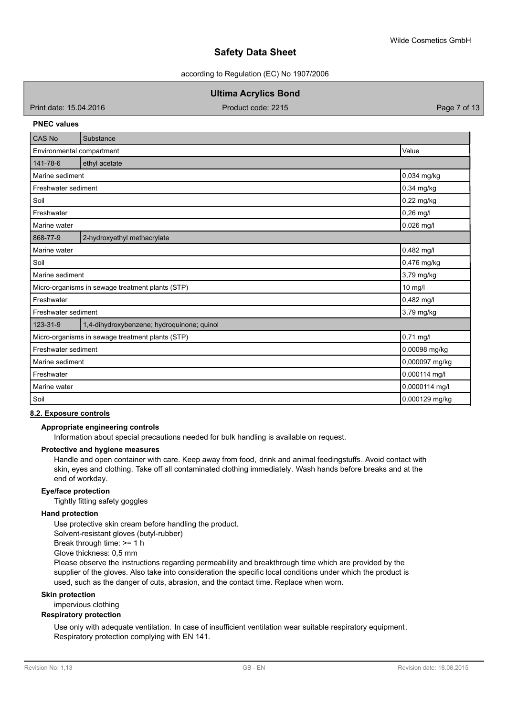according to Regulation (EC) No 1907/2006

### **Ultima Acrylics Bond**

Print date: 15.04.2016 **Product code: 2215** Product code: 2215 **Product code: 2215** 

#### **PNEC values**

| CAS No                    | Substance                                        |                |
|---------------------------|--------------------------------------------------|----------------|
| Environmental compartment |                                                  | Value          |
| 141-78-6                  | ethyl acetate                                    |                |
| Marine sediment           |                                                  | 0,034 mg/kg    |
| Freshwater sediment       |                                                  | 0,34 mg/kg     |
| Soil                      |                                                  | 0,22 mg/kg     |
| Freshwater                |                                                  | $0,26$ mg/l    |
| Marine water              |                                                  | 0,026 mg/l     |
| 868-77-9                  | 2-hydroxyethyl methacrylate                      |                |
| Marine water              |                                                  | 0,482 mg/l     |
| Soil                      |                                                  | 0,476 mg/kg    |
| Marine sediment           |                                                  | 3,79 mg/kg     |
|                           | Micro-organisms in sewage treatment plants (STP) | 10 mg/l        |
| Freshwater                |                                                  | 0,482 mg/l     |
| Freshwater sediment       |                                                  | 3,79 mg/kg     |
| 123-31-9                  | 1,4-dihydroxybenzene; hydroquinone; quinol       |                |
|                           | Micro-organisms in sewage treatment plants (STP) | 0,71 mg/l      |
| Freshwater sediment       |                                                  | 0,00098 mg/kg  |
| Marine sediment           |                                                  | 0,000097 mg/kg |
| Freshwater                |                                                  | 0,000114 mg/l  |
| Marine water              |                                                  | 0,0000114 mg/l |
| Soil                      |                                                  | 0,000129 mg/kg |

### **8.2. Exposure controls**

### **Appropriate engineering controls**

Information about special precautions needed for bulk handling is available on request.

#### **Protective and hygiene measures**

Handle and open container with care. Keep away from food, drink and animal feedingstuffs. Avoid contact with skin, eyes and clothing. Take off all contaminated clothing immediately. Wash hands before breaks and at the end of workday.

#### **Eye/face protection**

Tightly fitting safety goggles

### **Hand protection**

Use protective skin cream before handling the product. Solvent-resistant gloves (butyl-rubber)

Break through time: >= 1 h Glove thickness: 0,5 mm

Please observe the instructions regarding permeability and breakthrough time which are provided by the supplier of the gloves. Also take into consideration the specific local conditions under which the product is

used, such as the danger of cuts, abrasion, and the contact time. Replace when worn.

### **Skin protection**

impervious clothing

### **Respiratory protection**

Use only with adequate ventilation. In case of insufficient ventilation wear suitable respiratory equipment . Respiratory protection complying with EN 141.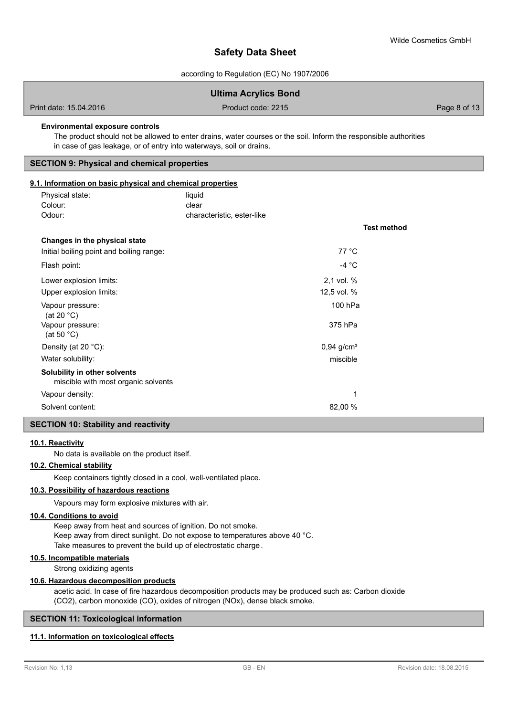according to Regulation (EC) No 1907/2006

|                                                                                                               | <b>Ultima Acrylics Bond</b>                                                                                      |              |
|---------------------------------------------------------------------------------------------------------------|------------------------------------------------------------------------------------------------------------------|--------------|
| Print date: 15.04.2016                                                                                        | Product code: 2215                                                                                               | Page 8 of 13 |
| <b>Environmental exposure controls</b><br>in case of gas leakage, or of entry into waterways, soil or drains. | The product should not be allowed to enter drains, water courses or the soil. Inform the responsible authorities |              |
| <b>SECTION 9: Physical and chemical properties</b>                                                            |                                                                                                                  |              |
| 9.1. Information on basic physical and chemical properties                                                    |                                                                                                                  |              |
| Physical state:                                                                                               | liquid                                                                                                           |              |
| Colour:                                                                                                       | clear                                                                                                            |              |
| Odour:                                                                                                        | characteristic, ester-like                                                                                       |              |
|                                                                                                               | <b>Test method</b>                                                                                               |              |
| Changes in the physical state                                                                                 |                                                                                                                  |              |
| Initial boiling point and boiling range:                                                                      | 77 °C                                                                                                            |              |
| Flash point:                                                                                                  | -4 $\degree$ C                                                                                                   |              |
| Lower explosion limits:                                                                                       | 2,1 vol. %                                                                                                       |              |
| Upper explosion limits:                                                                                       | 12,5 vol. %                                                                                                      |              |
| Vapour pressure:<br>(at 20 $^{\circ}$ C)                                                                      | 100 hPa                                                                                                          |              |
| Vapour pressure:<br>(at 50 $°C$ )                                                                             | 375 hPa                                                                                                          |              |
| Density (at 20 °C):                                                                                           | $0,94$ g/cm <sup>3</sup>                                                                                         |              |
| Water solubility:                                                                                             | miscible                                                                                                         |              |
| Solubility in other solvents<br>miscible with most organic solvents                                           |                                                                                                                  |              |
| Vapour density:                                                                                               | 1                                                                                                                |              |
| Solvent content:                                                                                              | 82,00 %                                                                                                          |              |

# **SECTION 10: Stability and reactivity**

#### **10.1. Reactivity**

No data is available on the product itself.

### **10.2. Chemical stability**

Keep containers tightly closed in a cool, well-ventilated place.

### **10.3. Possibility of hazardous reactions**

Vapours may form explosive mixtures with air.

#### **10.4. Conditions to avoid**

Keep away from heat and sources of ignition. Do not smoke. Keep away from direct sunlight. Do not expose to temperatures above 40 °C. Take measures to prevent the build up of electrostatic charge.

### **10.5. Incompatible materials**

Strong oxidizing agents

#### **10.6. Hazardous decomposition products**

acetic acid. In case of fire hazardous decomposition products may be produced such as: Carbon dioxide (CO2), carbon monoxide (CO), oxides of nitrogen (NOx), dense black smoke.

#### **SECTION 11: Toxicological information**

#### **11.1. Information on toxicological effects**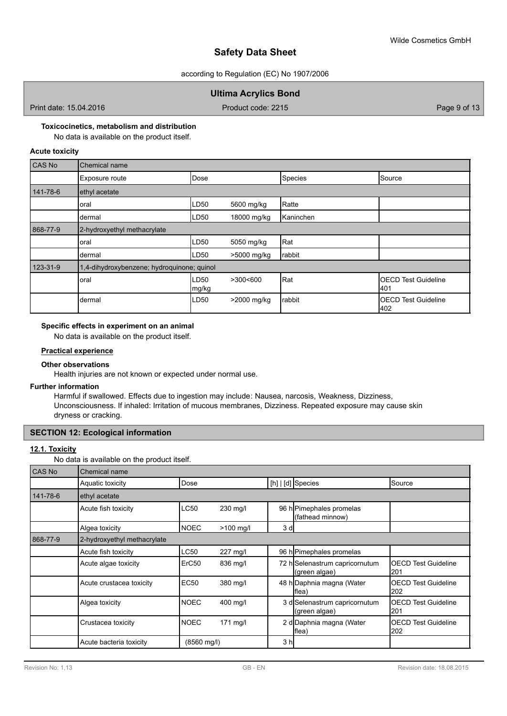according to Regulation (EC) No 1907/2006

### **Ultima Acrylics Bond**

Print date: 15.04.2016 **Product code: 2215** Product code: 2215 **Product code: 2215** 

#### **Toxicocinetics, metabolism and distribution**

No data is available on the product itself.

### **Acute toxicity**

| CAS No   | Chemical name                              |                           |             |              |                                    |
|----------|--------------------------------------------|---------------------------|-------------|--------------|------------------------------------|
|          | Exposure route                             | Dose                      |             | Species      | Source                             |
| 141-78-6 | ethyl acetate                              |                           |             |              |                                    |
|          | oral                                       | LD <sub>50</sub>          | 5600 mg/kg  | Ratte        |                                    |
|          | dermal                                     | LD <sub>50</sub>          | 18000 mg/kg | Kaninchen    |                                    |
| 868-77-9 | 2-hydroxyethyl methacrylate                |                           |             |              |                                    |
|          | oral                                       | LD <sub>50</sub>          | 5050 mg/kg  | Rat          |                                    |
|          | dermal                                     | LD50                      | >5000 mg/kg | rabbit       |                                    |
| 123-31-9 | 1,4-dihydroxybenzene; hydroquinone; quinol |                           |             |              |                                    |
|          | oral                                       | LD <sub>50</sub><br>mg/kg | >300<600    | <b>I</b> Rat | <b>IOECD Test Guideline</b><br>401 |
|          | dermal                                     | LD50                      | >2000 mg/kg | rabbit       | <b>IOECD Test Guideline</b><br>402 |

### **Specific effects in experiment on an animal**

No data is available on the product itself.

#### **Practical experience**

#### **Other observations**

Health injuries are not known or expected under normal use.

#### **Further information**

Harmful if swallowed. Effects due to ingestion may include: Nausea, narcosis, Weakness, Dizziness, Unconsciousness. If inhaled: Irritation of mucous membranes, Dizziness. Repeated exposure may cause skin dryness or cracking.

### **SECTION 12: Ecological information**

## **12.1. Toxicity**

No data is available on the product itself.

| CAS No   | Chemical name               |             |             |                |                                                |                                    |
|----------|-----------------------------|-------------|-------------|----------------|------------------------------------------------|------------------------------------|
|          | Aquatic toxicity            | Dose        |             |                | [h]   [d] Species                              | Source                             |
| 141-78-6 | ethyl acetate               |             |             |                |                                                |                                    |
|          | Acute fish toxicity         | <b>LC50</b> | 230 mg/l    |                | 96 h Pimephales promelas<br>(fathead minnow)   |                                    |
|          | Algea toxicity              | <b>NOEC</b> | $>100$ mg/l | 3d             |                                                |                                    |
| 868-77-9 | 2-hydroxyethyl methacrylate |             |             |                |                                                |                                    |
|          | Acute fish toxicity         | <b>LC50</b> | 227 mg/l    |                | 96 h Pimephales promelas                       |                                    |
|          | Acute algae toxicity        | ErC50       | 836 mg/l    |                | 72 hSelenastrum capricornutum<br>(green algae) | <b>IOECD Test Guideline</b><br>201 |
|          | Acute crustacea toxicity    | <b>EC50</b> | 380 mg/l    |                | 48 h Daphnia magna (Water<br>lflea)            | <b>OECD Test Guideline</b><br>202  |
|          | Algea toxicity              | <b>NOEC</b> | 400 mg/l    |                | 3 d Selenastrum capricornutum<br>(green algae) | <b>IOECD Test Guideline</b><br>201 |
|          | Crustacea toxicity          | <b>NOEC</b> | $171$ mg/l  |                | 2 d Daphnia magna (Water<br>flea)              | <b>IOECD Test Guideline</b><br>202 |
|          | Acute bacteria toxicity     | (8560 mg/l) |             | 3 <sub>h</sub> |                                                |                                    |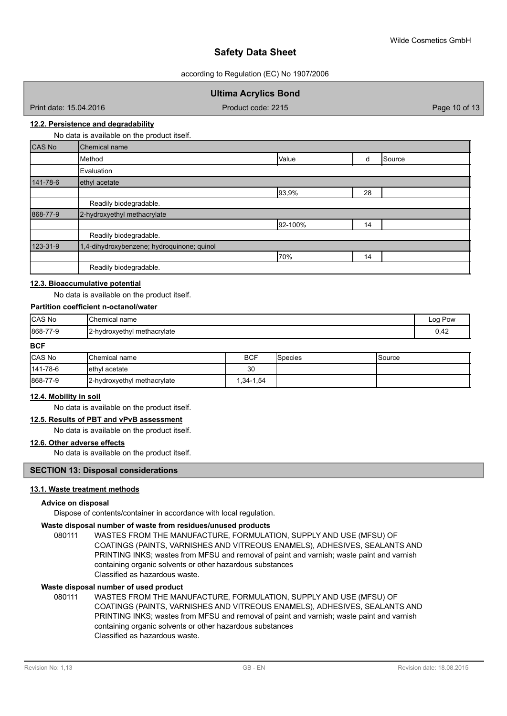according to Regulation (EC) No 1907/2006

### **Ultima Acrylics Bond**

Print date: 15.04.2016 **Product code: 2215** Product code: 2215 **Product code: 2215** Page 10 of 13

#### **12.2. Persistence and degradability**

No data is available on the product itself.

| <b>CAS No</b> | Chemical name                              |         |    |        |
|---------------|--------------------------------------------|---------|----|--------|
|               | Method                                     | Value   | d  | Source |
|               | Evaluation                                 |         |    |        |
| 141-78-6      | ethyl acetate                              |         |    |        |
|               |                                            | 93,9%   | 28 |        |
|               | Readily biodegradable.                     |         |    |        |
| 868-77-9      | 2-hydroxyethyl methacrylate                |         |    |        |
|               |                                            | 92-100% | 14 |        |
|               | Readily biodegradable.                     |         |    |        |
| 123-31-9      | 1,4-dihydroxybenzene; hydroquinone; quinol |         |    |        |
|               |                                            | 70%     | 14 |        |
|               | Readily biodegradable.                     |         |    |        |

#### **12.3. Bioaccumulative potential**

No data is available on the product itself.

#### **Partition coefficient n-octanol/water**

| CAS No   | Chemical name               | Log Pow |
|----------|-----------------------------|---------|
| 868-77-9 | 2-hydroxyethyl methacrylate | 0,42    |
| $R - R$  |                             |         |

#### **BCF**

| <b>CAS No</b>  | <b>I</b> Chemical name      | <b>BCF</b> | <b>S</b> pecies | <b>Source</b> |
|----------------|-----------------------------|------------|-----------------|---------------|
| $141 - 78 - 6$ | lethyl acetate              | 30         |                 |               |
| 868-77-9       | 2-hydroxyethyl methacrylate | 1,34-1,54  |                 |               |

#### **12.4. Mobility in soil**

No data is available on the product itself.

#### **12.5. Results of PBT and vPvB assessment**

No data is available on the product itself.

#### **12.6. Other adverse effects**

No data is available on the product itself.

#### **SECTION 13: Disposal considerations**

#### **13.1. Waste treatment methods**

#### **Advice on disposal**

Dispose of contents/container in accordance with local regulation.

#### **Waste disposal number of waste from residues/unused products**

080111 WASTES FROM THE MANUFACTURE, FORMULATION, SUPPLY AND USE (MFSU) OF COATINGS (PAINTS, VARNISHES AND VITREOUS ENAMELS), ADHESIVES, SEALANTS AND PRINTING INKS; wastes from MFSU and removal of paint and varnish; waste paint and varnish containing organic solvents or other hazardous substances Classified as hazardous waste.

#### **Waste disposal number of used product**

WASTES FROM THE MANUFACTURE, FORMULATION, SUPPLY AND USE (MFSU) OF COATINGS (PAINTS, VARNISHES AND VITREOUS ENAMELS), ADHESIVES, SEALANTS AND PRINTING INKS; wastes from MFSU and removal of paint and varnish; waste paint and varnish containing organic solvents or other hazardous substances Classified as hazardous waste. 080111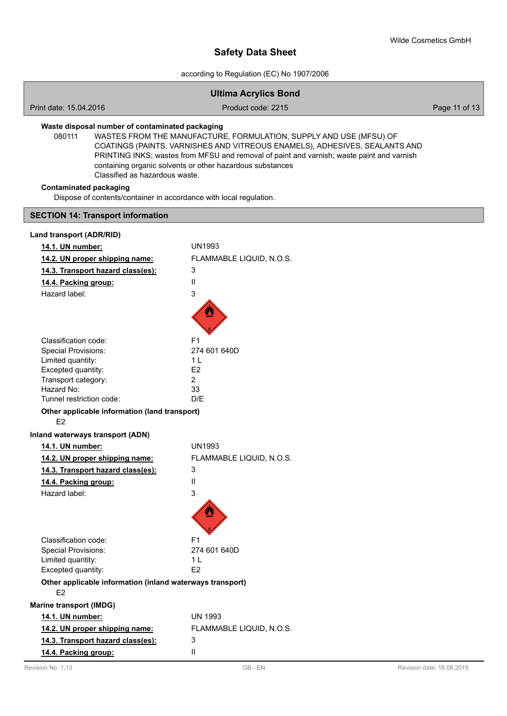according to Regulation (EC) No 1907/2006

|                                                                                                                                                                                                                                                                                                                                                                                                           | <b>Ultima Acrylics Bond</b> |               |  |  |
|-----------------------------------------------------------------------------------------------------------------------------------------------------------------------------------------------------------------------------------------------------------------------------------------------------------------------------------------------------------------------------------------------------------|-----------------------------|---------------|--|--|
| Print date: 15.04.2016                                                                                                                                                                                                                                                                                                                                                                                    | Product code: 2215          | Page 11 of 13 |  |  |
| Waste disposal number of contaminated packaging<br>WASTES FROM THE MANUFACTURE, FORMULATION, SUPPLY AND USE (MFSU) OF<br>080111<br>COATINGS (PAINTS, VARNISHES AND VITREOUS ENAMELS), ADHESIVES, SEALANTS AND<br>PRINTING INKS; wastes from MFSU and removal of paint and varnish; waste paint and varnish<br>containing organic solvents or other hazardous substances<br>Classified as hazardous waste. |                             |               |  |  |
| <b>Contaminated packaging</b><br>Dispose of contents/container in accordance with local regulation.                                                                                                                                                                                                                                                                                                       |                             |               |  |  |
| <b>SECTION 14: Transport information</b>                                                                                                                                                                                                                                                                                                                                                                  |                             |               |  |  |
| Land transport (ADR/RID)                                                                                                                                                                                                                                                                                                                                                                                  |                             |               |  |  |
| 14.1. UN number:                                                                                                                                                                                                                                                                                                                                                                                          | UN1993                      |               |  |  |
| 14.2. UN proper shipping name:                                                                                                                                                                                                                                                                                                                                                                            | FLAMMABLE LIQUID, N.O.S.    |               |  |  |
| 14.3. Transport hazard class(es):                                                                                                                                                                                                                                                                                                                                                                         | 3                           |               |  |  |
| 14.4. Packing group:                                                                                                                                                                                                                                                                                                                                                                                      | Ш                           |               |  |  |
| Hazard label:                                                                                                                                                                                                                                                                                                                                                                                             | 3                           |               |  |  |
|                                                                                                                                                                                                                                                                                                                                                                                                           |                             |               |  |  |
| Classification code:                                                                                                                                                                                                                                                                                                                                                                                      | F <sub>1</sub>              |               |  |  |
| <b>Special Provisions:</b>                                                                                                                                                                                                                                                                                                                                                                                | 274 601 640D                |               |  |  |
| Limited quantity:                                                                                                                                                                                                                                                                                                                                                                                         | 1 <sub>L</sub>              |               |  |  |
| Excepted quantity:                                                                                                                                                                                                                                                                                                                                                                                        | E2<br>$\overline{2}$        |               |  |  |
| Transport category:<br>Hazard No:                                                                                                                                                                                                                                                                                                                                                                         | 33                          |               |  |  |
| Tunnel restriction code:                                                                                                                                                                                                                                                                                                                                                                                  | D/E                         |               |  |  |
| Other applicable information (land transport)                                                                                                                                                                                                                                                                                                                                                             |                             |               |  |  |
| E <sub>2</sub>                                                                                                                                                                                                                                                                                                                                                                                            |                             |               |  |  |
| Inland waterways transport (ADN)                                                                                                                                                                                                                                                                                                                                                                          |                             |               |  |  |
| 14.1. UN number:                                                                                                                                                                                                                                                                                                                                                                                          | <b>UN1993</b>               |               |  |  |
| 14.2. UN proper shipping name:                                                                                                                                                                                                                                                                                                                                                                            | FLAMMABLE LIQUID, N.O.S.    |               |  |  |
| 14.3. Transport hazard class(es):                                                                                                                                                                                                                                                                                                                                                                         | 3                           |               |  |  |
| 14.4. Packing group:                                                                                                                                                                                                                                                                                                                                                                                      | Ш                           |               |  |  |
| Hazard label:                                                                                                                                                                                                                                                                                                                                                                                             | 3                           |               |  |  |
|                                                                                                                                                                                                                                                                                                                                                                                                           |                             |               |  |  |
| Classification code:                                                                                                                                                                                                                                                                                                                                                                                      | F1                          |               |  |  |
| <b>Special Provisions:</b>                                                                                                                                                                                                                                                                                                                                                                                | 274 601 640D                |               |  |  |
| Limited quantity:                                                                                                                                                                                                                                                                                                                                                                                         | 1 <sub>L</sub>              |               |  |  |
| Excepted quantity:                                                                                                                                                                                                                                                                                                                                                                                        | E <sub>2</sub>              |               |  |  |
| Other applicable information (inland waterways transport)<br>E <sub>2</sub>                                                                                                                                                                                                                                                                                                                               |                             |               |  |  |
| <b>Marine transport (IMDG)</b>                                                                                                                                                                                                                                                                                                                                                                            |                             |               |  |  |
| 14.1. UN number:                                                                                                                                                                                                                                                                                                                                                                                          | <b>UN 1993</b>              |               |  |  |
| 14.2. UN proper shipping name:                                                                                                                                                                                                                                                                                                                                                                            | FLAMMABLE LIQUID, N.O.S.    |               |  |  |
| 14.3. Transport hazard class(es):                                                                                                                                                                                                                                                                                                                                                                         | 3                           |               |  |  |
| 14.4. Packing group:                                                                                                                                                                                                                                                                                                                                                                                      | Ш                           |               |  |  |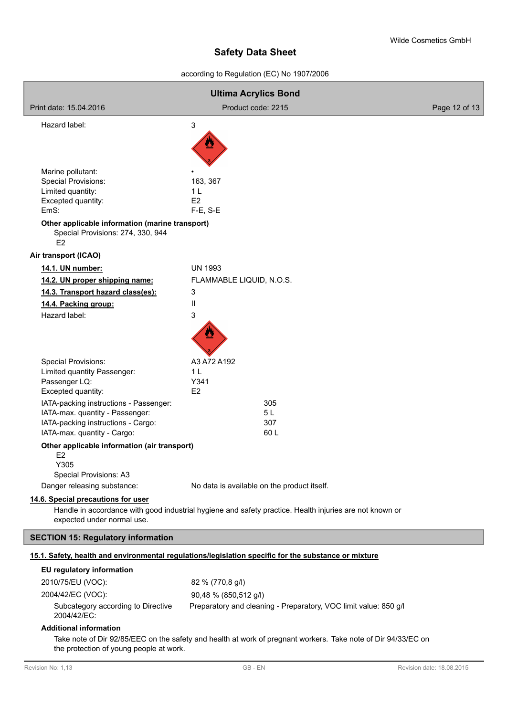according to Regulation (EC) No 1907/2006

| <b>Ultima Acrylics Bond</b>                                                                            |                                                                                                               |               |  |
|--------------------------------------------------------------------------------------------------------|---------------------------------------------------------------------------------------------------------------|---------------|--|
| Print date: 15.04.2016                                                                                 | Product code: 2215                                                                                            | Page 12 of 13 |  |
| Hazard label:                                                                                          | 3                                                                                                             |               |  |
|                                                                                                        |                                                                                                               |               |  |
|                                                                                                        |                                                                                                               |               |  |
| Marine pollutant:                                                                                      |                                                                                                               |               |  |
| Special Provisions:                                                                                    | 163, 367                                                                                                      |               |  |
| Limited quantity:                                                                                      | 1 <sub>L</sub>                                                                                                |               |  |
| Excepted quantity:                                                                                     | E <sub>2</sub>                                                                                                |               |  |
| EmS:                                                                                                   | $F-E$ , S-E                                                                                                   |               |  |
| Other applicable information (marine transport)<br>Special Provisions: 274, 330, 944<br>E <sub>2</sub> |                                                                                                               |               |  |
| Air transport (ICAO)                                                                                   |                                                                                                               |               |  |
| 14.1. UN number:                                                                                       | <b>UN 1993</b>                                                                                                |               |  |
| 14.2. UN proper shipping name:                                                                         | FLAMMABLE LIQUID, N.O.S.                                                                                      |               |  |
| 14.3. Transport hazard class(es):                                                                      | 3                                                                                                             |               |  |
| 14.4. Packing group:                                                                                   | Ш                                                                                                             |               |  |
| Hazard label:                                                                                          | 3                                                                                                             |               |  |
|                                                                                                        |                                                                                                               |               |  |
| <b>Special Provisions:</b>                                                                             | A3 A72 A192                                                                                                   |               |  |
| Limited quantity Passenger:                                                                            | 1 <sub>L</sub>                                                                                                |               |  |
| Passenger LQ:                                                                                          | Y341                                                                                                          |               |  |
| Excepted quantity:                                                                                     | E <sub>2</sub>                                                                                                |               |  |
| IATA-packing instructions - Passenger:<br>IATA-max. quantity - Passenger:                              | 305<br>5 L                                                                                                    |               |  |
| IATA-packing instructions - Cargo:                                                                     | 307                                                                                                           |               |  |
| IATA-max. quantity - Cargo:                                                                            | 60L                                                                                                           |               |  |
| Other applicable information (air transport)                                                           |                                                                                                               |               |  |
| E <sub>2</sub><br>Y305                                                                                 |                                                                                                               |               |  |
| Special Provisions: A3                                                                                 |                                                                                                               |               |  |
| Danger releasing substance:                                                                            | No data is available on the product itself.                                                                   |               |  |
| 14.6. Special precautions for user                                                                     |                                                                                                               |               |  |
|                                                                                                        | Handle in accordance with good industrial hygiene and safety practice. Health injuries are not known or       |               |  |
| expected under normal use.                                                                             |                                                                                                               |               |  |
| <b>SECTION 15: Regulatory information</b>                                                              |                                                                                                               |               |  |
|                                                                                                        | 15.1. Safety, health and environmental regulations/legislation specific for the substance or mixture          |               |  |
| EU regulatory information                                                                              |                                                                                                               |               |  |
| 2010/75/EU (VOC):                                                                                      | 82 % (770,8 g/l)                                                                                              |               |  |
| 2004/42/EC (VOC):                                                                                      | 90,48 % (850,512 g/l)                                                                                         |               |  |
| Subcategory according to Directive<br>2004/42/EC:                                                      | Preparatory and cleaning - Preparatory, VOC limit value: 850 g/l                                              |               |  |
| <b>Additional information</b>                                                                          |                                                                                                               |               |  |
| the protection of young people at work.                                                                | Take note of Dir 92/85/EEC on the safety and health at work of pregnant workers. Take note of Dir 94/33/EC on |               |  |